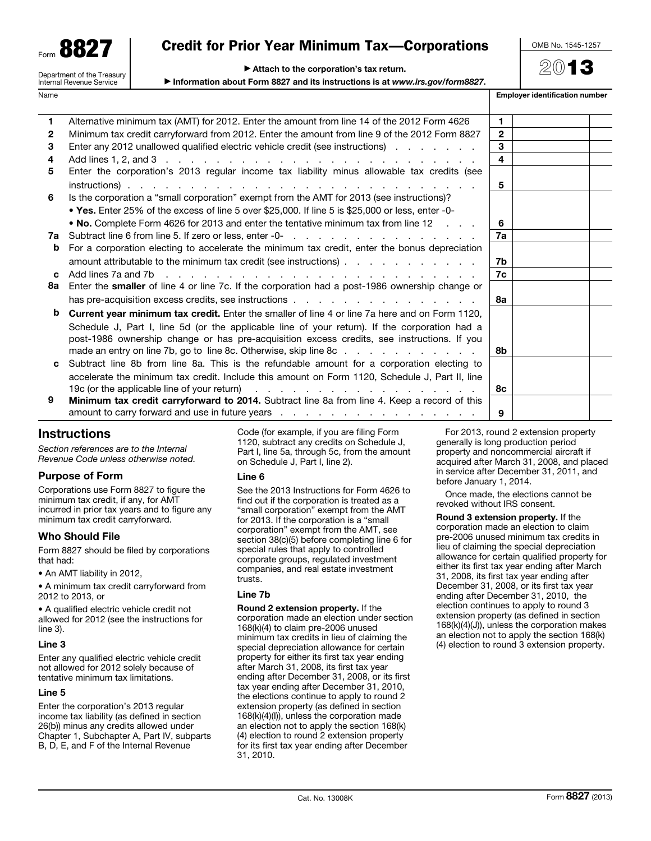| QQŊ<br>Form $\mathbf{O}\mathbf{O} \mathbf{Z}$ |
|-----------------------------------------------|
| Department of the Treasury                    |

Internal Revenue Service

## Credit for Prior Year Minimum Tax—Corporations

OMB No. 1545-1257

2013

|  |  | Attach to the corporation's tax return. |
|--|--|-----------------------------------------|
|  |  |                                         |

▶ Information about Form 8827 and its instructions is at *www.irs.gov/form8827*.

Name **Employer identification number**  $\blacksquare$ 

| 1            | Alternative minimum tax (AMT) for 2012. Enter the amount from line 14 of the 2012 Form 4626                     | 1            |  |
|--------------|-----------------------------------------------------------------------------------------------------------------|--------------|--|
| $\mathbf{2}$ | Minimum tax credit carryforward from 2012. Enter the amount from line 9 of the 2012 Form 8827                   | $\mathbf{2}$ |  |
| 3            | Enter any 2012 unallowed qualified electric vehicle credit (see instructions)                                   | 3            |  |
| 4            |                                                                                                                 | 4            |  |
| 5            | Enter the corporation's 2013 regular income tax liability minus allowable tax credits (see                      |              |  |
|              |                                                                                                                 | 5            |  |
| 6            | Is the corporation a "small corporation" exempt from the AMT for 2013 (see instructions)?                       |              |  |
|              | • Yes. Enter 25% of the excess of line 5 over \$25,000. If line 5 is \$25,000 or less, enter -0-                |              |  |
|              | • No. Complete Form 4626 for 2013 and enter the tentative minimum tax from line 12                              | 6            |  |
| 7а           |                                                                                                                 | 7a           |  |
| b            | For a corporation electing to accelerate the minimum tax credit, enter the bonus depreciation                   |              |  |
|              | amount attributable to the minimum tax credit (see instructions)                                                | 7b           |  |
|              |                                                                                                                 | 7c           |  |
| 8а           | Enter the smaller of line 4 or line 7c. If the corporation had a post-1986 ownership change or                  |              |  |
|              |                                                                                                                 | 8а           |  |
| b            | Current year minimum tax credit. Enter the smaller of line 4 or line 7a here and on Form 1120,                  |              |  |
|              | Schedule J, Part I, line 5d (or the applicable line of your return). If the corporation had a                   |              |  |
|              | post-1986 ownership change or has pre-acquisition excess credits, see instructions. If you                      |              |  |
|              | made an entry on line 7b, go to line 8c. Otherwise, skip line 8c                                                | 8b           |  |
| C            | Subtract line 8b from line 8a. This is the refundable amount for a corporation electing to                      |              |  |
|              | accelerate the minimum tax credit. Include this amount on Form 1120, Schedule J, Part II, line                  |              |  |
|              |                                                                                                                 | 8с           |  |
| 9            | Minimum tax credit carryforward to 2014. Subtract line 8a from line 4. Keep a record of this                    |              |  |
|              | amount to carry forward and use in future years $\ldots$ , $\ldots$ , $\ldots$ , $\ldots$ , $\ldots$ , $\ldots$ | 9            |  |

## **Instructions**

*Section references are to the Internal Revenue Code unless otherwise noted.*

## Purpose of Form

Corporations use Form 8827 to figure the minimum tax credit, if any, for AMT incurred in prior tax years and to figure any minimum tax credit carryforward.

## Who Should File

Form 8827 should be filed by corporations that had:

• An AMT liability in 2012,

• A minimum tax credit carryforward from 2012 to 2013, or

• A qualified electric vehicle credit not allowed for 2012 (see the instructions for line 3).

#### Line 3

Enter any qualified electric vehicle credit not allowed for 2012 solely because of tentative minimum tax limitations.

#### Line 5

Enter the corporation's 2013 regular income tax liability (as defined in section 26(b)) minus any credits allowed under Chapter 1, Subchapter A, Part IV, subparts B, D, E, and F of the Internal Revenue

Code (for example, if you are filing Form 1120, subtract any credits on Schedule J, Part I, line 5a, through 5c, from the amount on Schedule J, Part I, line 2).

#### Line 6

See the 2013 Instructions for Form 4626 to find out if the corporation is treated as a "small corporation" exempt from the AMT for 2013. If the corporation is a "small corporation" exempt from the AMT, see section 38(c)(5) before completing line 6 for special rules that apply to controlled corporate groups, regulated investment companies, and real estate investment trusts.

### Line 7b

Round 2 extension property. If the corporation made an election under section 168(k)(4) to claim pre-2006 unused minimum tax credits in lieu of claiming the special depreciation allowance for certain property for either its first tax year ending after March 31, 2008, its first tax year ending after December 31, 2008, or its first tax year ending after December 31, 2010, the elections continue to apply to round 2 extension property (as defined in section 168(k)(4)(I)), unless the corporation made an election not to apply the section 168(k) (4) election to round 2 extension property for its first tax year ending after December 31, 2010.

For 2013, round 2 extension property generally is long production period property and noncommercial aircraft if acquired after March 31, 2008, and placed in service after December 31, 2011, and before January 1, 2014.

Once made, the elections cannot be revoked without IRS consent.

Round 3 extension property. If the corporation made an election to claim pre-2006 unused minimum tax credits in lieu of claiming the special depreciation allowance for certain qualified property for either its first tax year ending after March 31, 2008, its first tax year ending after December 31, 2008, or its first tax year ending after December 31, 2010, the election continues to apply to round 3 extension property (as defined in section 168(k)(4)(J)), unless the corporation makes an election not to apply the section 168(k) (4) election to round 3 extension property.